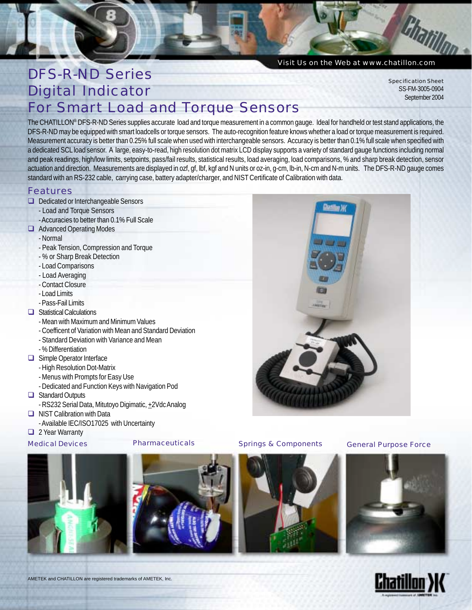

# DFS-R-ND Series Digital Indicator For Smart Load and Torque Sensors

Specification Sheet SS-FM-3005-0904 September 2004

The CHATILLON® DFS-R-ND Series supplies accurate load and torque measurement in a common gauge. Ideal for handheld or test stand applications, the DFS-R-ND may be equipped with smart loadcells or torque sensors. The auto-recognition feature knows whether a load or torque measurement is required. Measurement accuracy is better than 0.25% full scale when used with interchangeable sensors. Accuracy is better than 0.1% full scale when specified with a dedicated SCL load sensor. A large, easy-to-read, high resolution dot matrix LCD display supports a variety of standard gauge functions including normal and peak readings, high/low limits, setpoints, pass/fail results, statistical results, load averaging, load comparisons, % and sharp break detection, sensor actuation and direction. Measurements are displayed in ozf, gf, lbf, kgf and N units or oz-in, g-cm, lb-in, N-cm and N-m units. The DFS-R-ND gauge comes standard with an RS-232 cable, carrying case, battery adapter/charger, and NIST Certificate of Calibration with data.

### Features

- D Dedicated or Interchangeable Sensors
	- Load and Torque Sensors
	- Accuracies to better than 0.1% Full Scale
- **Q** Advanced Operating Modes
	- Normal
	- Peak Tension, Compression and Torque
	- % or Sharp Break Detection
	- Load Comparisons
	- Load Averaging
	- Contact Closure
	- Load Limits
	- Pass-Fail Limits
- $\Box$  Statistical Calculations
	- Mean with Maximum and Minimum Values
	- Coefficent of Variation with Mean and Standard Deviation
	- Standard Deviation with Variance and Mean
	- % Differentiation
- $\Box$  Simple Operator Interface
	- High Resolution Dot-Matrix
	- Menus with Prompts for Easy Use
	- Dedicated and Function Keys with Navigation Pod
- □ Standard Outputs
	- RS232 Serial Data, Mitutoyo Digimatic, +2Vdc Analog
- $\Box$  NIST Calibration with Data
	- Available IEC/ISO17025 with Uncertainty

### 2 Year Warranty



AMETEK and CHATILLON are registered trademarks of AMETEK, Inc.



*Medical Devices Pharmaceuticals Springs & Components General Purpose Force*





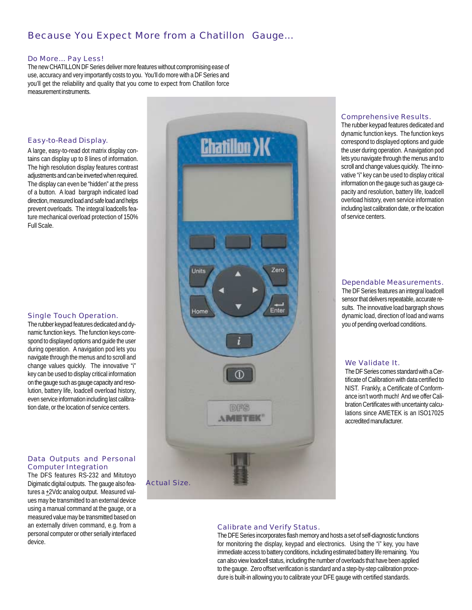### *Because You Expect More from a Chatillon<sup>®</sup> Gauge...*

#### Do More... Pay Less!

The new CHATILLON DF Series deliver more features without compromising ease of use, accuracy and very importantly costs to you. You'll do more with a DF Series and you'll get the reliability and quality that you come to expect from Chatillon force measurement instruments.

#### *Easy-to-Read Display.*

A large, easy-to-read dot matrix display contains can display up to 8 lines of information. The high resolution display features contrast adjustments and can be inverted when required. The display can even be "hidden" at the press of a button. A load bargraph indicated load direction, measured load and safe load and helps prevent overloads. The integral loadcells feature mechanical overload protection of 150% Full Scale.

#### *Single Touch Operation.*

The rubber keypad features dedicated and dynamic function keys. The function keys correspond to displayed options and guide the user during operation. A navigation pod lets you navigate through the menus and to scroll and change values quickly. The innovative "i" key can be used to display critical information on the gauge such as gauge capacity and resolution, battery life, loadcell overload history, even service information including last calibration date, or the location of service centers.

#### *Data Outputs and Personal Computer Integration*

The DFS features RS-232 and Mitutoyo Digimatic digital outputs. The gauge also features a  $\pm 2$ Vdc analog output. Measured values may be transmitted to an external device using a manual command at the gauge, or a measured value may be transmitted based on an externally driven command, e.g. from a personal computer or other serially interfaced device.



#### *Comprehensive Results.*

The rubber keypad features dedicated and dynamic function keys. The function keys correspond to displayed options and guide the user during operation. A navigation pod lets you navigate through the menus and to scroll and change values quickly. The innovative "i" key can be used to display critical information on the gauge such as gauge capacity and resolution, battery life, loadcell overload history, even service information including last calibration date, or the location of service centers.

#### *Dependable Measurements.*

The DF Series features an integral loadcell sensor that delivers repeatable, accurate results. The innovative load bargraph shows dynamic load, direction of load and warns you of pending overload conditions.

#### *We Validate It.*

The DF Series comes standard with a Certificate of Calibration with data certified to NIST. Frankly, a Certificate of Conformance isn't worth much! And we offer Calibration Certificates with uncertainty calculations since AMETEK is an ISO17025 accredited manufacturer.

#### *Calibrate and Verify Status.*

The DFE Series incorporates flash memory and hosts a set of self-diagnostic functions for monitoring the display, keypad and electronics. Using the "i" key, you have immediate access to battery conditions, including estimated battery life remaining. You can also view loadcell status, including the number of overloads that have been applied to the gauge. Zero offset verification is standard and a step-by-step calibration procedure is built-in allowing you to calibrate your DFE gauge with certified standards.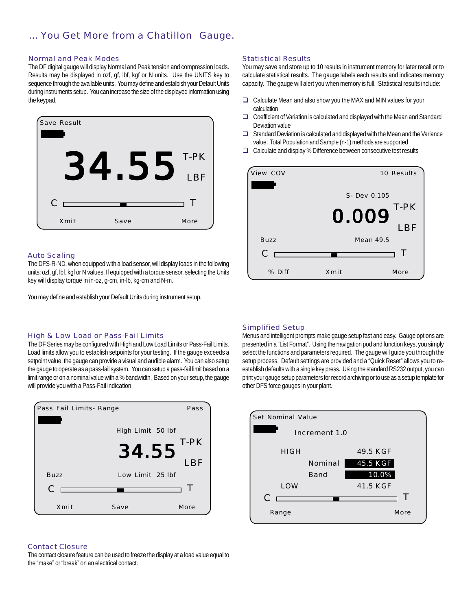### *... You Get More from a Chatillon Gauge.*

#### *Normal and Peak Modes*

The DF digital gauge will display Normal and Peak tension and compression loads. Results may be displayed in ozf, gf, lbf, kgf or N units. Use the UNITS key to sequence through the available units. You may define and estalbish your Default Units during instruments setup. You can increase the size of the displayed information using the keypad.



#### *Auto Scaling*

The DFS-R-ND, when equipped with a load sensor, will display loads in the following units: ozf, gf, lbf, kgf or N values. If equipped with a torque sensor, selecting the Units key will display torque in in-oz, g-cm, in-lb, kg-cm and N-m.

You may define and establish your Default Units during instrument setup.

#### *High & Low Load or Pass-Fail Limits*

The DF Series may be configured with High and Low Load Limits or Pass-Fail Limits. Load limits allow you to establish setpoints for your testing. If the gauge exceeds a setpoint value, the gauge can provide a visual and audible alarm. You can also setup the gauge to operate as a pass-fail system. You can setup a pass-fail limit based on a limit range or on a nominal value with a % bandwidth. Based on your setup, the gauge will provide you with a Pass-Fail indication.



#### *Contact Closure*

The contact closure feature can be used to freeze the display at a load value equal to the "make" or "break" on an electrical contact.

#### *Statistical Results*

You may save and store up to 10 results in instrument memory for later recall or to calculate statistical results. The gauge labels each results and indicates memory capacity. The gauge will alert you when memory is full. Statistical results include:

- □ Calculate Mean and also show you the MAX and MIN values for your calculation
- □ Coefficient of Variation is calculated and displayed with the Mean and Standard Deviation value
- $\Box$  Standard Deviation is calculated and displayed with the Mean and the Variance value. Total Population and Sample (n-1) methods are supported
- $\Box$  Calculate and display % Difference between consecutive test results



#### *Simplified Setup*

Menus and intelligent prompts make gauge setup fast and easy. Gauge options are presented in a "List Format". Using the navigation pod and function keys, you simply select the functions and parameters required. The gauge will guide you through the setup process. Default settings are provided and a "Quick Reset" allows you to reestablish defaults with a single key press. Using the standard RS232 output, you can print your gauge setup parameters for record archiving or to use as a setup template for other DFS force gauges in your plant.

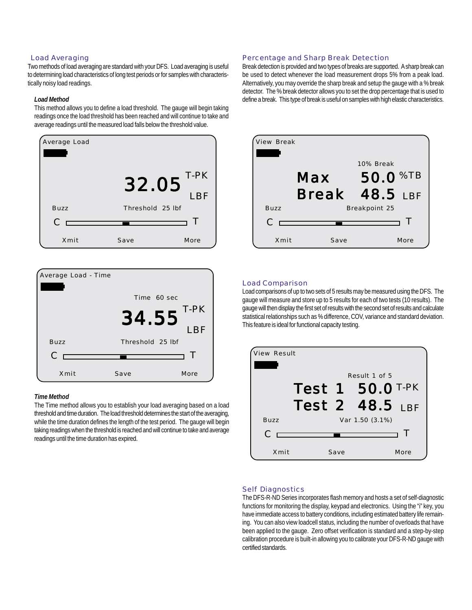#### *Load Averaging*

Two methods of load averaging are standard with your DFS. Load averaging is useful to determining load characteristics of long test periods or for samples with characteristically noisy load readings.

#### *Load Method*

This method allows you to define a load threshold. The gauge will begin taking readings once the load threshold has been reached and will continue to take and average readings until the measured load falls below the threshold value.





#### *Time Method*

The Time method allows you to establish your load averaging based on a load threshold and time duration. The load threshold determines the start of the averaging, while the time duration defines the length of the test period. The gauge will begin taking readings when the threshold is reached and will continue to take and average readings until the time duration has expired.

#### *Percentage and Sharp Break Detection*

Break detection is provided and two types of breaks are supported. A sharp break can be used to detect whenever the load measurement drops 5% from a peak load. Alternatively, you may override the sharp break and setup the gauge with a % break detector. The % break detector allows you to set the drop percentage that is used to define a break. This type of break is useful on samples with high elastic characteristics.



#### *Load Comparison*

Load comparisons of up to two sets of 5 results may be measured using the DFS. The gauge will measure and store up to 5 results for each of two tests (10 results). The gauge will then display the first set of results with the second set of results and calculate statistical relationships such as % difference, COV, variance and standard deviation. This feature is ideal for functional capacity testing.



#### *Self Diagnostics*

The DFS-R-ND Series incorporates flash memory and hosts a set of self-diagnostic functions for monitoring the display, keypad and electronics. Using the "i" key, you have immediate access to battery conditions, including estimated battery life remaining. You can also view loadcell status, including the number of overloads that have been applied to the gauge. Zero offset verification is standard and a step-by-step calibration procedure is built-in allowing you to calibrate your DFS-R-ND gauge with certified standards.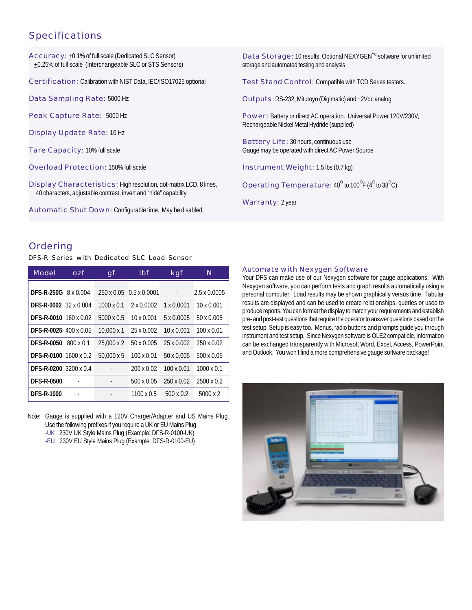### Specifications

Accuracy: +0.1% of full scale (Dedicated SLC Sensor) +0.25% of full scale (Interchangeable SLC or STS Sensors)

Certification: Calibration with NIST Data, IEC/ISO17025 optional

Data Sampling Rate: 5000 Hz

Peak Capture Rate: 5000 Hz

Display Update Rate: 10 Hz

Tare Capacity: 10% full scale

Overload Protection: 150% full scale

Display Characteristics: High resolution, dot-matrix LCD, 8 lines, 40 characters, adjustable contrast, invert and "hide" capability

Automatic Shut Down: Configurable time. May be disabled.

Data Storage: 10 results, Optional NEXYGENTM software for unlimited storage and automated testing and analysis

Test Stand Control: Compatible with TCD Series testers.

Outputs:RS-232, Mitutoyo (Digimatic) and +2Vdc analog

Power: Battery or direct AC operation. Universal Power 120V/230V, Rechargeable Nickel Metal Hydride (supplied)

Battery Life: 30 hours, continuous use Gauge may be operated with direct AC Power Source

Instrument Weight: 1.5 lbs (0.7 kg)

Operating Temperature:  $40^{\circ}$  to 100 $^{\circ}$ F (4 $^{\circ}$  to 38 $^{\circ}$ C)

Warranty: 2 year

#### Ordering

*DFS-R Series with Dedicated SLC Load Sensor*

| Model                        | OZf              | gf                | <b>Ibf</b>              | kgf               | N                   |
|------------------------------|------------------|-------------------|-------------------------|-------------------|---------------------|
| <b>DFS-R-250G</b> 8 x 0.004  |                  |                   | 250 x 0.05 0.5 x 0.0001 |                   | $2.5 \times 0.0005$ |
| <b>DFS-R-0002</b> 32 x 0.004 |                  | $1000 \times 0.1$ | $2 \times 0.0002$       | 1 x 0.0001        | 10 x 0.001          |
| DFS-R-0010 160 x 0.02        |                  | 5000 x 0.5        | $10 \times 0.001$       | 5 x 0.0005        | 50 x 0.005          |
| <b>DFS-R-0025 400 x 0.05</b> |                  | $10.000 \times 1$ | 25 x 0.002              | $10 \times 0.001$ | $100 \times 0.01$   |
| <b>DFS-R-0050</b>            | $800 \times 0.1$ | 25,000 x 2        | 50 x 0.005              | 25 x 0.002        | 250 x 0.02          |
| <b>DFS-R-0100 1600 x 0.2</b> |                  | $50.000 \times 5$ | $100 \times 0.01$       | 50 x 0.005        | $500 \times 0.05$   |
| DFS-R-0200 3200 x 0.4        |                  |                   | 200 x 0.02              | $100 \times 0.01$ | $1000 \times 0.1$   |
| <b>DFS-R-0500</b>            |                  |                   | 500 x 0.05              | 250 x 0.02        | 2500 x 0.2          |
| <b>DFS-R-1000</b>            |                  |                   | 1100 x 0.5              | 500 x 0.2         | $5000 \times 2$     |

Note: Gauge is supplied with a 120V Charger/Adapter and US Mains Plug. Use the following prefixes if you require a UK or EU Mains Plug.

- -UK 230V UK Style Mains Plug (Example: DFS-R-0100-UK)
- -EU 230V EU Style Mains Plug (Example: DFS-R-0100-EU)

#### *Automate with Nexygen Software*

Your DFS can make use of our Nexygen software for gauge applications. With Nexygen software, you can perform tests and graph results automatically using a personal computer. Load results may be shown graphically versus time. Tabular results are displayed and can be used to create relationships, queries or used to produce reports. You can format the display to match your requirements and establish pre- and post-test questions that require the operator to answer questions based on the test setup. Setup is easy too. Menus, radio buttons and prompts guide you through instrument and test setup. Since Nexygen software is OLE2 compatible, information can be exchanged transparently with Microsoft Word, Excel, Access, PowerPoint and Outlook. You won't find a more comprehensive gauge software package!

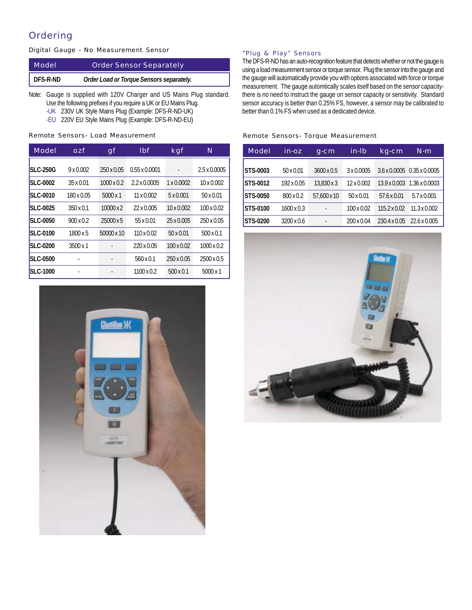### Ordering

| Digital Gauge - No Measurement Sensor |  |  |
|---------------------------------------|--|--|
|---------------------------------------|--|--|

| Model    | <b>Order Sensor Separately</b>           |
|----------|------------------------------------------|
| DFS-R-ND | Order Load or Torque Sensors separately. |

Note: Gauge is supplied with 120V Charger and US Mains Plug standard. Use the following prefixes if you require a UK or EU Mains Plug.

- -UK 230V UK Style Mains Plug (Example: DFS-R-ND-UK)
- -EU 220V EU Style Mains Plug (Example: DFS-R-ND-EU)

*Remote Sensors- Load Measurement*

| Model           | ozf               | gf                | Ibf                  | kgf               | N                   |
|-----------------|-------------------|-------------------|----------------------|-------------------|---------------------|
| <b>SLC-250G</b> | $9 \times 0.002$  | 250 x 0.05        | $0.55 \times 0.0001$ |                   | $2.5 \times 0.0005$ |
| <b>SLC-0002</b> | $35 \times 0.01$  | $1000 \times 0.2$ | $2.2 \times 0.0005$  | $1 \times 0.0002$ | $10 \times 0.002$   |
| <b>SLC-0010</b> | $180 \times 0.05$ | $5000 \times 1$   | $11 \times 0.002$    | $5 \times 0.001$  | $50 \times 0.01$    |
| <b>SLC-0025</b> | $350 \times 0.1$  | $10000 \times 2$  | 22 x 0.005           | $10 \times 0.002$ | $100 \times 0.02$   |
| <b>SLC-0050</b> | $900 \times 0.2$  | 25000x5           | 55 x 0.01            | 25 x 0.005        | 250 x 0.05          |
| <b>SLC-0100</b> | $1800 \times 5$   | 50000 x 10        | $110 \times 0.02$    | $50 \times 0.01$  | $500 \times 0.1$    |
| <b>SLC-0200</b> | $3500 \times 1$   |                   | 220 x 0.05           | $100 \times 0.02$ | $1000 \times 0.2$   |
| <b>SLC-0500</b> |                   |                   | $560 \times 0.1$     | $250 \times 0.05$ | $2500 \times 0.5$   |
| <b>SLC-1000</b> |                   |                   | $1100 \times 0.2$    | $500 \times 0.1$  | $5000 \times 1$     |



#### *"Plug & Play" Sensors*

The DFS-R-ND has an auto-recognition feature that detects whether or not the gauge is using a load measurement sensor or torque sensor. Plug the sensor into the gauge and the gauge will automatically provide you with options associated with force or torque measurement. The gauge automtically scales itself based on the sensor capacitythere is no need to instruct the gauge on sensor capacity or sensitivity. Standard sensor accuracy is better than 0.25% FS, however, a sensor may be calibrated to better than 0.1% FS when used as a dedicated device.

#### *Remote Sensors- Torque Measurement*

| Model           | in-oz             | q-cm              | in-Ib             | kg-cm               | $N-m$                      |
|-----------------|-------------------|-------------------|-------------------|---------------------|----------------------------|
| <b>STS-0003</b> | $50 \times 0.01$  | $3600 \times 0.5$ | 3 x 0.0005        |                     | 3.6 x 0.0005 0.35 x 0.0005 |
| STS-0012        | 192 x 0.05        | 13.830 x 3        | $12 \times 0.002$ |                     | 13.9 x 0.003 1.36 x 0.0003 |
| <b>STS-0050</b> | 800 x 0.2         | 57.600 x 10       | $50 \times 0.01$  | 57.6 x 0.01         | $5.7 \times 0.001$         |
| STS-0100        | $1600 \times 0.3$ |                   | $100 \times 0.02$ | $115.2 \times 0.02$ | $11.3 \times 0.002$        |
| STS-0200        | $3200 \times 0.6$ | ٠                 | 200 x 0.04        | 230.4 x 0.05        | $22.6 \times 0.005$        |

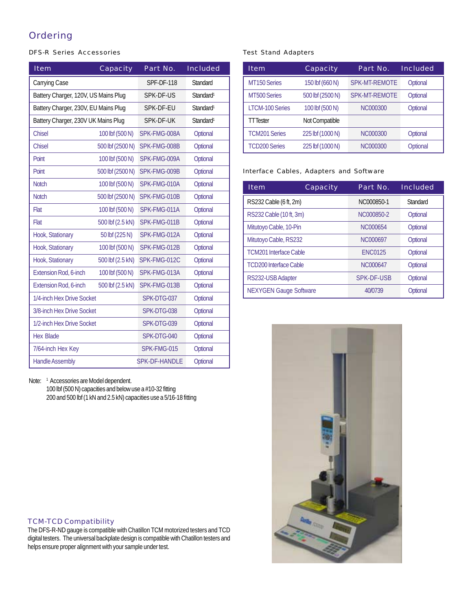## Ordering

#### *DFS-R Series Accessories*

| Item                                 | Capacity         | Part No.             | Included              |
|--------------------------------------|------------------|----------------------|-----------------------|
| Carrying Case                        |                  | <b>SPF-DF-118</b>    | <b>Standard</b>       |
| Battery Charger, 120V, US Mains Plug |                  | SPK-DF-US            | Standard <sup>1</sup> |
| Battery Charger, 230V, EU Mains Plug |                  | SPK-DF-EU            | Standard <sup>1</sup> |
| Battery Charger, 230V UK Mains Plug  |                  | SPK-DF-UK            | Standard <sup>1</sup> |
| <b>Chisel</b>                        | 100 lbf (500 N)  | SPK-FMG-008A         | Optional              |
| <b>Chisel</b>                        | 500 lbf (2500 N) | SPK-FMG-008B         | Optional              |
| Point                                | 100 lbf (500 N)  | SPK-FMG-009A         | Optional              |
| Point                                | 500 lbf (2500 N) | SPK-FMG-009B         | Optional              |
| <b>Notch</b>                         | 100 lbf (500 N)  | SPK-FMG-010A         | Optional              |
| <b>Notch</b>                         | 500 lbf (2500 N) | SPK-FMG-010B         | Optional              |
| Flat                                 | 100 lbf (500 N)  | SPK-FMG-011A         | Optional              |
| Flat                                 | 500 lbf (2.5 kN) | SPK-FMG-011B         | Optional              |
| Hook, Stationary                     | 50 lbf (225 N)   | SPK-FMG-012A         | Optional              |
| Hook, Stationary                     | 100 lbf (500 N)  | SPK-FMG-012B         | Optional              |
| Hook, Stationary                     | 500 lbf (2.5 kN) | SPK-FMG-012C         | Optional              |
| Extension Rod, 6-inch                | 100 lbf (500 N)  | SPK-FMG-013A         | Optional              |
| <b>Extension Rod, 6-inch</b>         | 500 lbf (2.5 kN) | SPK-FMG-013B         | Optional              |
| 1/4-inch Hex Drive Socket            |                  | SPK-DTG-037          | Optional              |
| 3/8-inch Hex Drive Socket            |                  | SPK-DTG-038          | Optional              |
| 1/2-inch Hex Drive Socket            |                  | SPK-DTG-039          | Optional              |
| <b>Hex Blade</b>                     |                  | SPK-DTG-040          | Optional              |
| 7/64-inch Hex Key                    |                  | SPK-FMG-015          | Optional              |
| <b>Handle Assembly</b>               |                  | <b>SPK-DF-HANDLE</b> | Optional              |

Note: <sup>1</sup> Accessories are Model dependent.

100 lbf (500 N) capacities and below use a #10-32 fitting 200 and 500 lbf (1 kN and 2.5 kN) capacities use a 5/16-18 fitting

#### *TCM-TCD Compatibility*

The DFS-R-ND gauge is compatible with Chatillon TCM motorized testers and TCD digital testers. The universal backplate design is compatible with Chatillon testers and helps ensure proper alignment with your sample under test.

#### *Test Stand Adapters*

| Item                   | Capacity         | Part No.             | Included |
|------------------------|------------------|----------------------|----------|
| MT150 Series           | 150 lbf (660 N)  | <b>SPK-MT-REMOTE</b> | Optional |
| MT500 Series           | 500 lbf (2500 N) | <b>SPK-MT-REMOTE</b> | Optional |
| <b>LTCM-100 Series</b> | 100 lbf (500 N)  | <b>NC000300</b>      | Optional |
| TT Tester              | Not Compatible   |                      |          |
| <b>TCM201 Series</b>   | 225 lbf (1000 N) | NC000300             | Optional |
| <b>TCD200 Series</b>   | 225 lbf (1000 N) | NC000300             | Optional |

#### *Interface Cables, Adapters and Software*

| Item                          | Capacity | Part No.          | Included |
|-------------------------------|----------|-------------------|----------|
| RS232 Cable (6 ft, 2m)        |          | NC000850-1        | Standard |
| RS232 Cable (10 ft, 3m)       |          | NC000850-2        | Optional |
| Mitutoyo Cable, 10-Pin        |          | NC000654          | Optional |
| Mitutoyo Cable, RS232         |          | NC000697          | Optional |
| <b>TCM201 Interface Cable</b> |          | <b>ENC0125</b>    | Optional |
| <b>TCD200 Interface Cable</b> |          | NC000647          | Optional |
| RS232-USB Adapter             |          | <b>SPK-DF-USB</b> | Optional |
| <b>NEXYGEN Gauge Software</b> |          | 40/0739           | Optional |